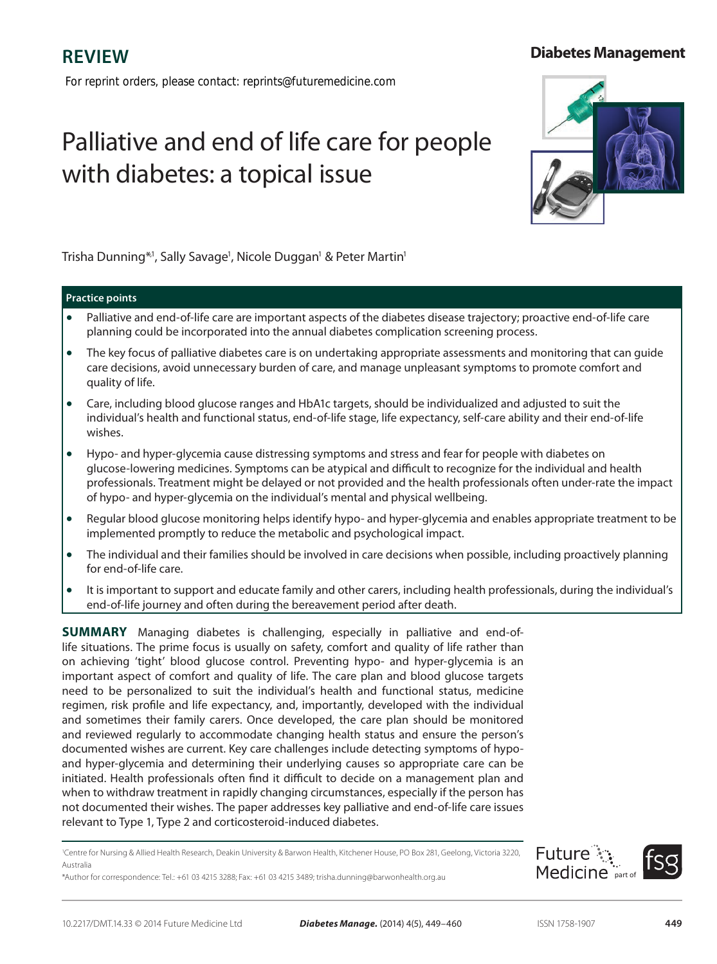*For reprint orders, please contact: reprints@futuremedicine.com*

# Palliative and end of life care for people with diabetes: a topical issue



**Diabetes Management**



Trisha Dunning\*<sup>,</sup>', Sally Savage', Nicole Duggan' & Peter Martin'

# **Practice points**

- Palliative and end-of-life care are important aspects of the diabetes disease trajectory; proactive end-of-life care planning could be incorporated into the annual diabetes complication screening process.
- The key focus of palliative diabetes care is on undertaking appropriate assessments and monitoring that can guide care decisions, avoid unnecessary burden of care, and manage unpleasant symptoms to promote comfort and quality of life.
- Care, including blood glucose ranges and HbA1c targets, should be individualized and adjusted to suit the individual's health and functional status, end-of-life stage, life expectancy, self-care ability and their end-of-life wishes.
- Hypo- and hyper-glycemia cause distressing symptoms and stress and fear for people with diabetes on glucose-lowering medicines. Symptoms can be atypical and difficult to recognize for the individual and health professionals. Treatment might be delayed or not provided and the health professionals often under-rate the impact of hypo- and hyper-glycemia on the individual's mental and physical wellbeing.
- Regular blood glucose monitoring helps identify hypo- and hyper-glycemia and enables appropriate treatment to be implemented promptly to reduce the metabolic and psychological impact.
- The individual and their families should be involved in care decisions when possible, including proactively planning for end-of-life care.
- It is important to support and educate family and other carers, including health professionals, during the individual's end-of-life journey and often during the bereavement period after death.

**SUMMARY** Managing diabetes is challenging, especially in palliative and end-oflife situations. The prime focus is usually on safety, comfort and quality of life rather than on achieving 'tight' blood glucose control. Preventing hypo- and hyper-glycemia is an important aspect of comfort and quality of life. The care plan and blood glucose targets need to be personalized to suit the individual's health and functional status, medicine regimen, risk profile and life expectancy, and, importantly, developed with the individual and sometimes their family carers. Once developed, the care plan should be monitored and reviewed regularly to accommodate changing health status and ensure the person's documented wishes are current. Key care challenges include detecting symptoms of hypoand hyper-glycemia and determining their underlying causes so appropriate care can be initiated. Health professionals often find it difficult to decide on a management plan and when to withdraw treatment in rapidly changing circumstances, especially if the person has not documented their wishes. The paper addresses key palliative and end-of-life care issues relevant to Type 1, Type 2 and corticosteroid-induced diabetes.

1 Centre for Nursing & Allied Health Research, Deakin University & Barwon Health, Kitchener House, PO Box 281, Geelong, Victoria 3220, Australia

\*Author for correspondence: Tel.: +61 03 4215 3288; Fax: +61 03 4215 3489; trisha.dunning@barwonhealth.org.au

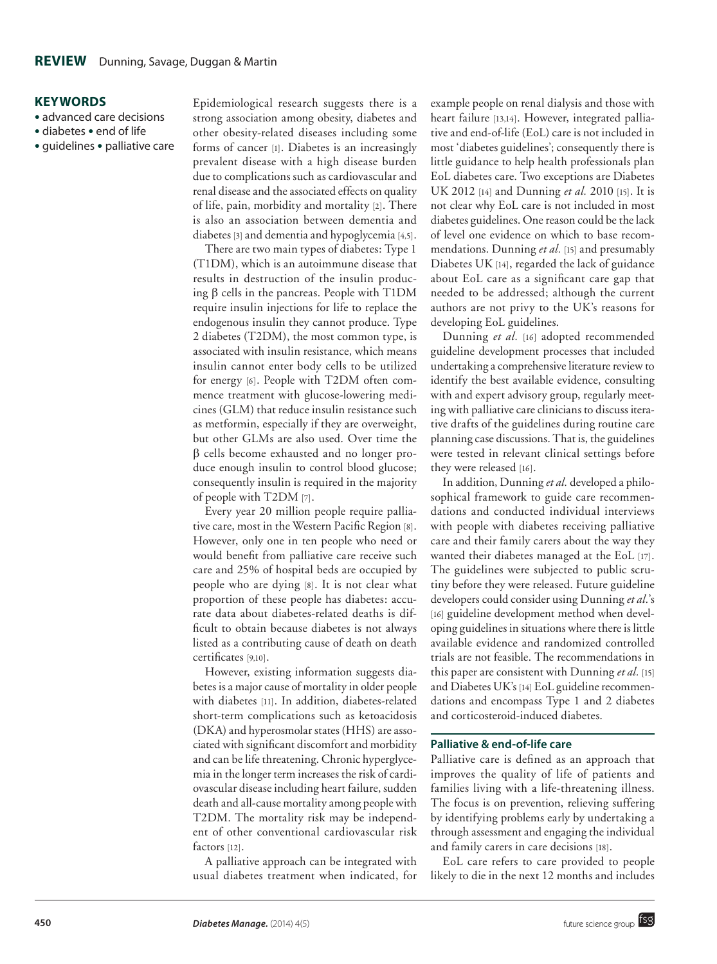# **KEYWORDS**

- advanced care decisions
- diabetes end of life
- guidelines palliative care

Epidemiological research suggests there is a strong association among obesity, diabetes and other obesity-related diseases including some forms of cancer [1]. Diabetes is an increasingly prevalent disease with a high disease burden due to complications such as cardiovascular and renal disease and the associated effects on quality of life, pain, morbidity and mortality [2]. There is also an association between dementia and diabetes [3] and dementia and hypoglycemia [4,5].

There are two main types of diabetes: Type 1 (T1DM), which is an autoimmune disease that results in destruction of the insulin producing β cells in the pancreas. People with T1DM require insulin injections for life to replace the endogenous insulin they cannot produce. Type 2 diabetes (T2DM), the most common type, is associated with insulin resistance, which means insulin cannot enter body cells to be utilized for energy [6]. People with T2DM often commence treatment with glucose-lowering medicines (GLM) that reduce insulin resistance such as metformin, especially if they are overweight, but other GLMs are also used. Over time the β cells become exhausted and no longer produce enough insulin to control blood glucose; consequently insulin is required in the majority of people with T2DM [7].

Every year 20 million people require palliative care, most in the Western Pacific Region [8]. However, only one in ten people who need or would benefit from palliative care receive such care and 25% of hospital beds are occupied by people who are dying [8]. It is not clear what proportion of these people has diabetes: accurate data about diabetes-related deaths is difficult to obtain because diabetes is not always listed as a contributing cause of death on death certificates [9,10].

However, existing information suggests diabetes is a major cause of mortality in older people with diabetes [11]. In addition, diabetes-related short-term complications such as ketoacidosis (DKA) and hyperosmolar states (HHS) are associated with significant discomfort and morbidity and can be life threatening. Chronic hyperglycemia in the longer term increases the risk of cardiovascular disease including heart failure, sudden death and all-cause mortality among people with T2DM. The mortality risk may be independent of other conventional cardiovascular risk factors [12].

A palliative approach can be integrated with usual diabetes treatment when indicated, for

example people on renal dialysis and those with heart failure [13,14]. However, integrated palliative and end-of-life (EoL) care is not included in most 'diabetes guidelines'; consequently there is little guidance to help health professionals plan EoL diabetes care. Two exceptions are Diabetes UK 2012 [14] and Dunning *et al.* 2010 [15]. It is not clear why EoL care is not included in most diabetes guidelines. One reason could be the lack of level one evidence on which to base recommendations. Dunning *et al.* [15] and presumably Diabetes UK [14], regarded the lack of guidance about EoL care as a significant care gap that needed to be addressed; although the current authors are not privy to the UK's reasons for developing EoL guidelines.

Dunning *et al.* [16] adopted recommended guideline development processes that included undertaking a comprehensive literature review to identify the best available evidence, consulting with and expert advisory group, regularly meeting with palliative care clinicians to discuss iterative drafts of the guidelines during routine care planning case discussions. That is, the guidelines were tested in relevant clinical settings before they were released [16].

In addition, Dunning *et al.* developed a philosophical framework to guide care recommendations and conducted individual interviews with people with diabetes receiving palliative care and their family carers about the way they wanted their diabetes managed at the EoL [17]. The guidelines were subjected to public scrutiny before they were released. Future guideline developers could consider using Dunning *et al.*'s [16] guideline development method when developing guidelines in situations where there is little available evidence and randomized controlled trials are not feasible. The recommendations in this paper are consistent with Dunning *et al.* [15] and Diabetes UK's [14] EoL guideline recommendations and encompass Type 1 and 2 diabetes and corticosteroid-induced diabetes.

## **Palliative & end-of-life care**

Palliative care is defined as an approach that improves the quality of life of patients and families living with a life-threatening illness. The focus is on prevention, relieving suffering by identifying problems early by undertaking a through assessment and engaging the individual and family carers in care decisions [18].

EoL care refers to care provided to people likely to die in the next 12 months and includes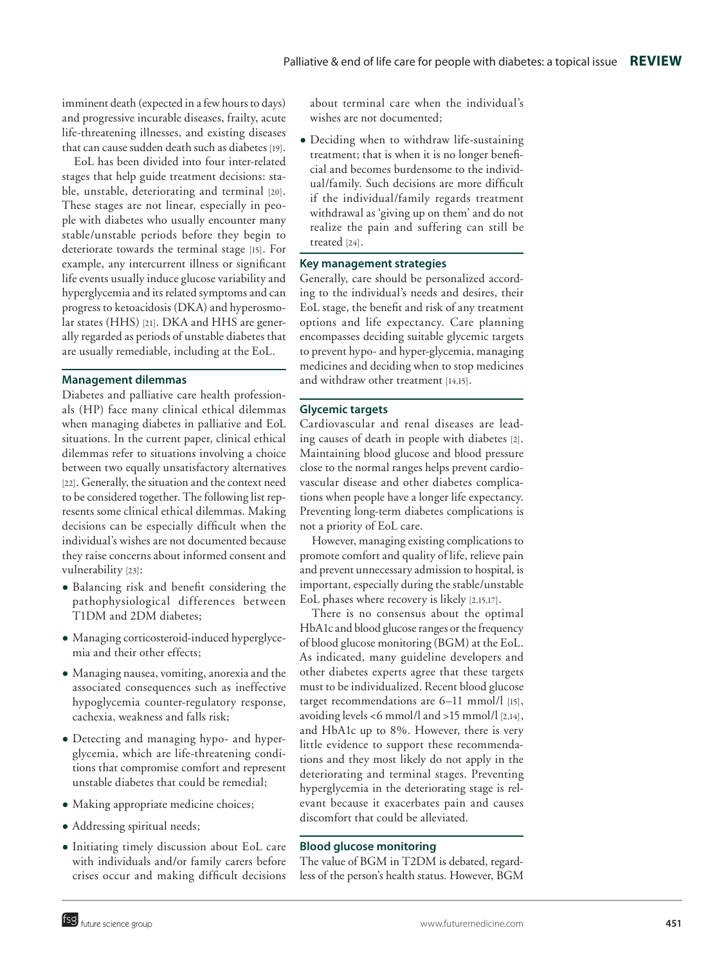imminent death (expected in a few hours to days) and progressive incurable diseases, frailty, acute life-threatening illnesses, and existing diseases that can cause sudden death such as diabetes [19].

EoL has been divided into four inter-related stages that help guide treatment decisions: stable, unstable, deteriorating and terminal [20]. These stages are not linear, especially in people with diabetes who usually encounter many stable/unstable periods before they begin to deteriorate towards the terminal stage [15]. For example, any intercurrent illness or significant life events usually induce glucose variability and hyperglycemia and its related symptoms and can progress to ketoacidosis (DKA) and hyperosmolar states (HHS) [21]. DKA and HHS are generally regarded as periods of unstable diabetes that are usually remediable, including at the EoL.

## **Management dilemmas**

Diabetes and palliative care health professionals (HP) face many clinical ethical dilemmas when managing diabetes in palliative and EoL situations. In the current paper, clinical ethical dilemmas refer to situations involving a choice between two equally unsatisfactory alternatives [22]. Generally, the situation and the context need to be considered together. The following list represents some clinical ethical dilemmas. Making decisions can be especially difficult when the individual's wishes are not documented because they raise concerns about informed consent and vulnerability [23]:

- Balancing risk and benefit considering the pathophysiological differences between T1DM and 2DM diabetes;
- Managing corticosteroid-induced hyperglycemia and their other effects;
- Managing nausea, vomiting, anorexia and the associated consequences such as ineffective hypoglycemia counter-regulatory response, cachexia, weakness and falls risk;
- Detecting and managing hypo- and hyperglycemia, which are life-threatening conditions that compromise comfort and represent unstable diabetes that could be remedial;
- Making appropriate medicine choices;
- Addressing spiritual needs;
- Initiating timely discussion about EoL care with individuals and/or family carers before crises occur and making difficult decisions

about terminal care when the individual's wishes are not documented;

• Deciding when to withdraw life-sustaining treatment; that is when it is no longer beneficial and becomes burdensome to the individual/family. Such decisions are more difficult if the individual/family regards treatment withdrawal as 'giving up on them' and do not realize the pain and suffering can still be treated [24].

# **Key management strategies**

Generally, care should be personalized according to the individual's needs and desires, their EoL stage, the benefit and risk of any treatment options and life expectancy. Care planning encompasses deciding suitable glycemic targets to prevent hypo- and hyper-glycemia, managing medicines and deciding when to stop medicines and withdraw other treatment [14,15].

## **Glycemic targets**

Cardiovascular and renal diseases are leading causes of death in people with diabetes [2]. Maintaining blood glucose and blood pressure close to the normal ranges helps prevent cardiovascular disease and other diabetes complications when people have a longer life expectancy. Preventing long-term diabetes complications is not a priority of EoL care.

However, managing existing complications to promote comfort and quality of life, relieve pain and prevent unnecessary admission to hospital, is important, especially during the stable/unstable EoL phases where recovery is likely [2,15,17].

There is no consensus about the optimal HbA1c and blood glucose ranges or the frequency of blood glucose monitoring (BGM) at the EoL. As indicated, many guideline developers and other diabetes experts agree that these targets must to be individualized. Recent blood glucose target recommendations are 6–11 mmol/l [15], avoiding levels <6 mmol/l and >15 mmol/l  $[2,14]$ , and HbA1c up to 8%. However, there is very little evidence to support these recommendations and they most likely do not apply in the deteriorating and terminal stages. Preventing hyperglycemia in the deteriorating stage is relevant because it exacerbates pain and causes discomfort that could be alleviated.

# **Blood glucose monitoring**

The value of BGM in T2DM is debated, regardless of the person's health status. However, BGM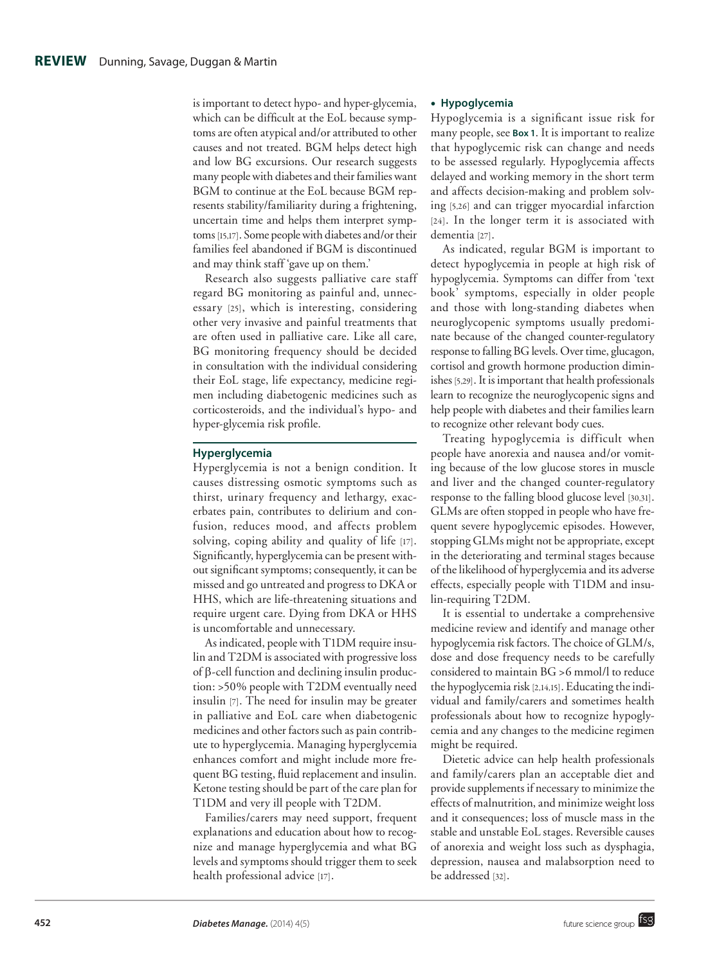is important to detect hypo- and hyper-glycemia, which can be difficult at the EoL because symptoms are often atypical and/or attributed to other causes and not treated. BGM helps detect high and low BG excursions. Our research suggests many people with diabetes and their families want BGM to continue at the EoL because BGM represents stability/familiarity during a frightening, uncertain time and helps them interpret symptoms [15,17]. Some people with diabetes and/or their families feel abandoned if BGM is discontinued and may think staff 'gave up on them.'

Research also suggests palliative care staff regard BG monitoring as painful and, unnecessary [25], which is interesting, considering other very invasive and painful treatments that are often used in palliative care. Like all care, BG monitoring frequency should be decided in consultation with the individual considering their EoL stage, life expectancy, medicine regimen including diabetogenic medicines such as corticosteroids, and the individual's hypo- and hyper-glycemia risk profile.

#### **Hyperglycemia**

Hyperglycemia is not a benign condition. It causes distressing osmotic symptoms such as thirst, urinary frequency and lethargy, exacerbates pain, contributes to delirium and confusion, reduces mood, and affects problem solving, coping ability and quality of life [17]. Significantly, hyperglycemia can be present without significant symptoms; consequently, it can be missed and go untreated and progress to DKA or HHS, which are life-threatening situations and require urgent care. Dying from DKA or HHS is uncomfortable and unnecessary.

As indicated, people with T1DM require insulin and T2DM is associated with progressive loss of β-cell function and declining insulin production: >50% people with T2DM eventually need insulin [7]. The need for insulin may be greater in palliative and EoL care when diabetogenic medicines and other factors such as pain contribute to hyperglycemia. Managing hyperglycemia enhances comfort and might include more frequent BG testing, fluid replacement and insulin. Ketone testing should be part of the care plan for T1DM and very ill people with T2DM.

Families/carers may need support, frequent explanations and education about how to recognize and manage hyperglycemia and what BG levels and symptoms should trigger them to seek health professional advice [17].

## ● **Hypoglycemia**

Hypoglycemia is a significant issue risk for many people, see **Box 1**. It is important to realize that hypoglycemic risk can change and needs to be assessed regularly. Hypoglycemia affects delayed and working memory in the short term and affects decision-making and problem solving [5,26] and can trigger myocardial infarction [24]. In the longer term it is associated with dementia [27].

As indicated, regular BGM is important to detect hypoglycemia in people at high risk of hypoglycemia. Symptoms can differ from 'text book' symptoms, especially in older people and those with long-standing diabetes when neuroglycopenic symptoms usually predominate because of the changed counter-regulatory response to falling BG levels. Over time, glucagon, cortisol and growth hormone production diminishes [5,29]. It is important that health professionals learn to recognize the neuroglycopenic signs and help people with diabetes and their families learn to recognize other relevant body cues.

Treating hypoglycemia is difficult when people have anorexia and nausea and/or vomiting because of the low glucose stores in muscle and liver and the changed counter-regulatory response to the falling blood glucose level [30,31]. GLMs are often stopped in people who have frequent severe hypoglycemic episodes. However, stopping GLMs might not be appropriate, except in the deteriorating and terminal stages because of the likelihood of hyperglycemia and its adverse effects, especially people with T1DM and insulin-requiring T2DM.

It is essential to undertake a comprehensive medicine review and identify and manage other hypoglycemia risk factors. The choice of GLM/s, dose and dose frequency needs to be carefully considered to maintain BG >6 mmol/l to reduce the hypoglycemia risk [2,14,15]. Educating the individual and family/carers and sometimes health professionals about how to recognize hypoglycemia and any changes to the medicine regimen might be required.

Dietetic advice can help health professionals and family/carers plan an acceptable diet and provide supplements if necessary to minimize the effects of malnutrition, and minimize weight loss and it consequences; loss of muscle mass in the stable and unstable EoL stages. Reversible causes of anorexia and weight loss such as dysphagia, depression, nausea and malabsorption need to be addressed [32].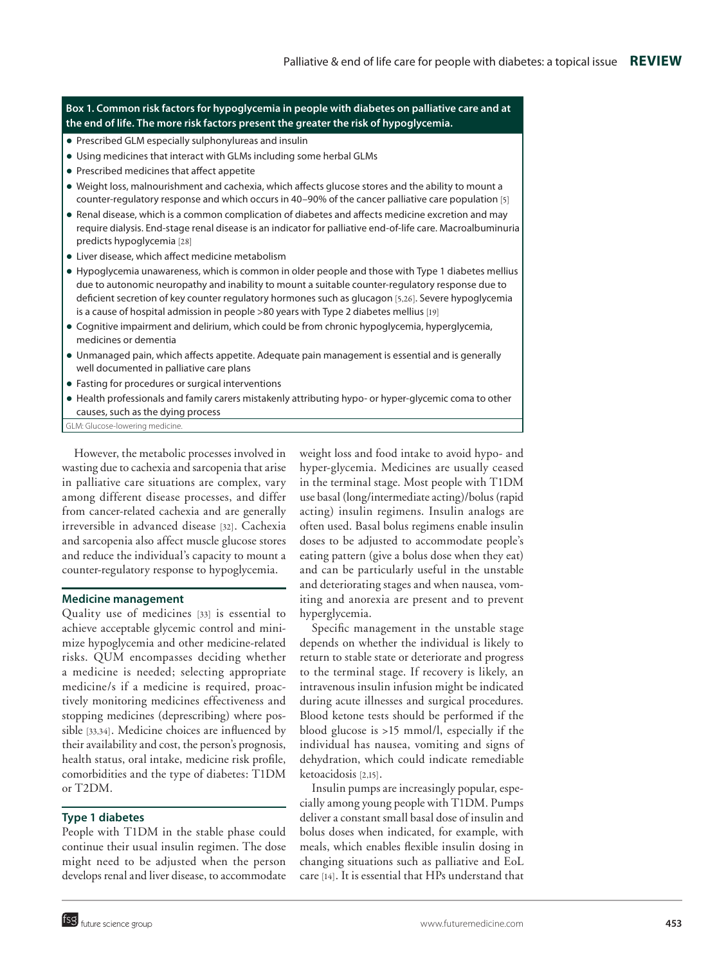**Box 1. Common risk factors for hypoglycemia in people with diabetes on palliative care and at the end of life. The more risk factors present the greater the risk of hypoglycemia.**

- Prescribed GLM especially sulphonylureas and insulin
- Using medicines that interact with GLMs including some herbal GLMs
- Prescribed medicines that affect appetite
- Weight loss, malnourishment and cachexia, which affects glucose stores and the ability to mount a counter-regulatory response and which occurs in 40–90% of the cancer palliative care population [5]
- Renal disease, which is a common complication of diabetes and affects medicine excretion and may require dialysis. End-stage renal disease is an indicator for palliative end-of-life care. Macroalbuminuria predicts hypoglycemia [28]
- Liver disease, which affect medicine metabolism
- Hypoglycemia unawareness, which is common in older people and those with Type 1 diabetes mellius due to autonomic neuropathy and inability to mount a suitable counter-regulatory response due to deficient secretion of key counter regulatory hormones such as glucagon [5,26]. Severe hypoglycemia is a cause of hospital admission in people >80 years with Type 2 diabetes mellius [19]
- Cognitive impairment and delirium, which could be from chronic hypoglycemia, hyperglycemia, medicines or dementia
- Unmanaged pain, which affects appetite. Adequate pain management is essential and is generally well documented in palliative care plans
- Fasting for procedures or surgical interventions
- Health professionals and family carers mistakenly attributing hypo- or hyper-glycemic coma to other causes, such as the dying process

GLM: Glucose-lowering medicine.

However, the metabolic processes involved in wasting due to cachexia and sarcopenia that arise in palliative care situations are complex, vary among different disease processes, and differ from cancer-related cachexia and are generally irreversible in advanced disease [32]. Cachexia and sarcopenia also affect muscle glucose stores and reduce the individual's capacity to mount a counter-regulatory response to hypoglycemia.

#### **Medicine management**

Quality use of medicines [33] is essential to achieve acceptable glycemic control and minimize hypoglycemia and other medicine-related risks. QUM encompasses deciding whether a medicine is needed; selecting appropriate medicine/s if a medicine is required, proactively monitoring medicines effectiveness and stopping medicines (deprescribing) where possible [33,34]. Medicine choices are influenced by their availability and cost, the person's prognosis, health status, oral intake, medicine risk profile, comorbidities and the type of diabetes: T1DM or T2DM.

#### **Type 1 diabetes**

People with T1DM in the stable phase could continue their usual insulin regimen. The dose might need to be adjusted when the person develops renal and liver disease, to accommodate weight loss and food intake to avoid hypo- and hyper-glycemia. Medicines are usually ceased in the terminal stage. Most people with T1DM use basal (long/intermediate acting)/bolus (rapid acting) insulin regimens. Insulin analogs are often used. Basal bolus regimens enable insulin doses to be adjusted to accommodate people's eating pattern (give a bolus dose when they eat) and can be particularly useful in the unstable and deteriorating stages and when nausea, vomiting and anorexia are present and to prevent hyperglycemia.

Specific management in the unstable stage depends on whether the individual is likely to return to stable state or deteriorate and progress to the terminal stage. If recovery is likely, an intravenous insulin infusion might be indicated during acute illnesses and surgical procedures. Blood ketone tests should be performed if the blood glucose is >15 mmol/l, especially if the individual has nausea, vomiting and signs of dehydration, which could indicate remediable ketoacidosis [2,15].

Insulin pumps are increasingly popular, especially among young people with T1DM. Pumps deliver a constant small basal dose of insulin and bolus doses when indicated, for example, with meals, which enables flexible insulin dosing in changing situations such as palliative and EoL care [14]. It is essential that HPs understand that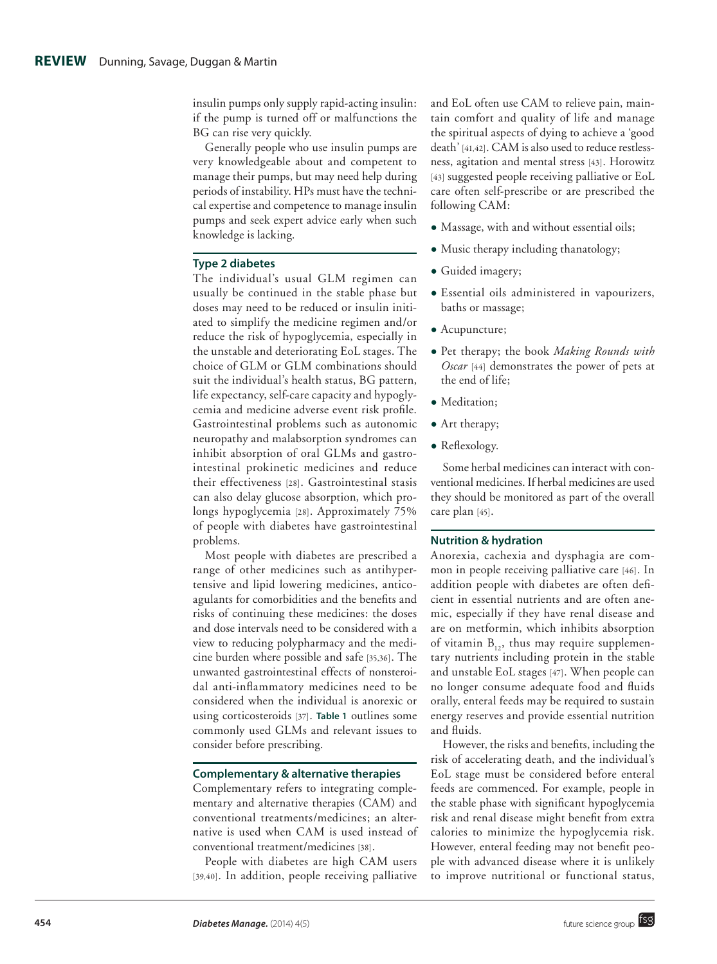insulin pumps only supply rapid-acting insulin: if the pump is turned off or malfunctions the BG can rise very quickly.

Generally people who use insulin pumps are very knowledgeable about and competent to manage their pumps, but may need help during periods of instability. HPs must have the technical expertise and competence to manage insulin pumps and seek expert advice early when such knowledge is lacking.

## **Type 2 diabetes**

The individual's usual GLM regimen can usually be continued in the stable phase but doses may need to be reduced or insulin initiated to simplify the medicine regimen and/or reduce the risk of hypoglycemia, especially in the unstable and deteriorating EoL stages. The choice of GLM or GLM combinations should suit the individual's health status, BG pattern, life expectancy, self-care capacity and hypoglycemia and medicine adverse event risk profile. Gastrointestinal problems such as autonomic neuropathy and malabsorption syndromes can inhibit absorption of oral GLMs and gastrointestinal prokinetic medicines and reduce their effectiveness [28]. Gastrointestinal stasis can also delay glucose absorption, which prolongs hypoglycemia [28]. Approximately 75% of people with diabetes have gastrointestinal problems.

Most people with diabetes are prescribed a range of other medicines such as antihypertensive and lipid lowering medicines, anticoagulants for comorbidities and the benefits and risks of continuing these medicines: the doses and dose intervals need to be considered with a view to reducing polypharmacy and the medicine burden where possible and safe [35,36]. The unwanted gastrointestinal effects of nonsteroidal anti-inflammatory medicines need to be considered when the individual is anorexic or using corticosteroids [37]. **Table 1** outlines some commonly used GLMs and relevant issues to consider before prescribing.

## **Complementary & alternative therapies**

Complementary refers to integrating complementary and alternative therapies (CAM) and conventional treatments/medicines; an alternative is used when CAM is used instead of conventional treatment/medicines [38].

People with diabetes are high CAM users [39,40]. In addition, people receiving palliative and EoL often use CAM to relieve pain, maintain comfort and quality of life and manage the spiritual aspects of dying to achieve a 'good death' [41,42]. CAM is also used to reduce restlessness, agitation and mental stress [43]. Horowitz [43] suggested people receiving palliative or EoL care often self-prescribe or are prescribed the following CAM:

- Massage, with and without essential oils;
- Music therapy including thanatology;
- Guided imagery;
- Essential oils administered in vapourizers, baths or massage;
- Acupuncture;
- Pet therapy; the book *Making Rounds with Oscar* [44] demonstrates the power of pets at the end of life;
- Meditation;
- Art therapy;
- Reflexology.

Some herbal medicines can interact with conventional medicines. If herbal medicines are used they should be monitored as part of the overall care plan [45].

## **Nutrition & hydration**

Anorexia, cachexia and dysphagia are common in people receiving palliative care [46]. In addition people with diabetes are often deficient in essential nutrients and are often anemic, especially if they have renal disease and are on metformin, which inhibits absorption of vitamin  $B_{12}$ , thus may require supplementary nutrients including protein in the stable and unstable EoL stages [47]. When people can no longer consume adequate food and fluids orally, enteral feeds may be required to sustain energy reserves and provide essential nutrition and fluids.

However, the risks and benefits, including the risk of accelerating death, and the individual's EoL stage must be considered before enteral feeds are commenced. For example, people in the stable phase with significant hypoglycemia risk and renal disease might benefit from extra calories to minimize the hypoglycemia risk. However, enteral feeding may not benefit people with advanced disease where it is unlikely to improve nutritional or functional status,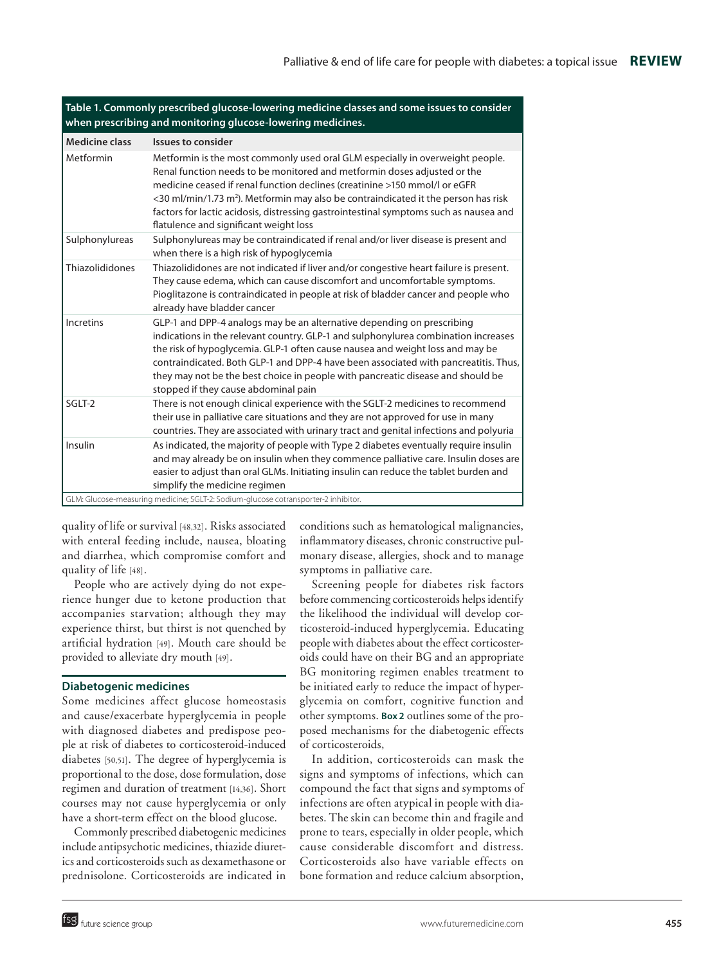| Table 1. Commonly prescribed glucose-lowering medicine classes and some issues to consider<br>when prescribing and monitoring glucose-lowering medicines. |                                                                                                                                                                                                                                                                                                                                                                                                                                                                              |
|-----------------------------------------------------------------------------------------------------------------------------------------------------------|------------------------------------------------------------------------------------------------------------------------------------------------------------------------------------------------------------------------------------------------------------------------------------------------------------------------------------------------------------------------------------------------------------------------------------------------------------------------------|
| <b>Medicine class</b>                                                                                                                                     | <b>Issues to consider</b>                                                                                                                                                                                                                                                                                                                                                                                                                                                    |
| Metformin                                                                                                                                                 | Metformin is the most commonly used oral GLM especially in overweight people.<br>Renal function needs to be monitored and metformin doses adjusted or the<br>medicine ceased if renal function declines (creatinine >150 mmol/l or eGFR<br><30 ml/min/1.73 m <sup>2</sup> ). Metformin may also be contraindicated it the person has risk<br>factors for lactic acidosis, distressing gastrointestinal symptoms such as nausea and<br>flatulence and significant weight loss |
| Sulphonylureas                                                                                                                                            | Sulphonylureas may be contraindicated if renal and/or liver disease is present and<br>when there is a high risk of hypoglycemia                                                                                                                                                                                                                                                                                                                                              |
| Thiazolididones                                                                                                                                           | Thiazolididones are not indicated if liver and/or congestive heart failure is present.<br>They cause edema, which can cause discomfort and uncomfortable symptoms.<br>Pioglitazone is contraindicated in people at risk of bladder cancer and people who<br>already have bladder cancer                                                                                                                                                                                      |
| <b>Incretins</b>                                                                                                                                          | GLP-1 and DPP-4 analogs may be an alternative depending on prescribing<br>indications in the relevant country. GLP-1 and sulphonylurea combination increases<br>the risk of hypoglycemia. GLP-1 often cause nausea and weight loss and may be<br>contraindicated. Both GLP-1 and DPP-4 have been associated with pancreatitis. Thus,<br>they may not be the best choice in people with pancreatic disease and should be<br>stopped if they cause abdominal pain              |
| SGLT-2                                                                                                                                                    | There is not enough clinical experience with the SGLT-2 medicines to recommend<br>their use in palliative care situations and they are not approved for use in many<br>countries. They are associated with urinary tract and genital infections and polyuria                                                                                                                                                                                                                 |
| Insulin                                                                                                                                                   | As indicated, the majority of people with Type 2 diabetes eventually require insulin<br>and may already be on insulin when they commence palliative care. Insulin doses are<br>easier to adjust than oral GLMs. Initiating insulin can reduce the tablet burden and<br>simplify the medicine regimen<br>GLM: Glucose-measuring medicine; SGLT-2: Sodium-glucose cotransporter-2 inhibitor.                                                                                   |

quality of life or survival [48,32]. Risks associated with enteral feeding include, nausea, bloating and diarrhea, which compromise comfort and quality of life [48].

People who are actively dying do not experience hunger due to ketone production that accompanies starvation; although they may experience thirst, but thirst is not quenched by artificial hydration [49]. Mouth care should be provided to alleviate dry mouth [49].

# **Diabetogenic medicines**

Some medicines affect glucose homeostasis and cause/exacerbate hyperglycemia in people with diagnosed diabetes and predispose people at risk of diabetes to corticosteroid-induced diabetes [50,51]. The degree of hyperglycemia is proportional to the dose, dose formulation, dose regimen and duration of treatment [14,36]. Short courses may not cause hyperglycemia or only have a short-term effect on the blood glucose.

Commonly prescribed diabetogenic medicines include antipsychotic medicines, thiazide diuretics and corticosteroids such as dexamethasone or prednisolone. Corticosteroids are indicated in conditions such as hematological malignancies, inflammatory diseases, chronic constructive pulmonary disease, allergies, shock and to manage symptoms in palliative care.

Screening people for diabetes risk factors before commencing corticosteroids helps identify the likelihood the individual will develop corticosteroid-induced hyperglycemia. Educating people with diabetes about the effect corticosteroids could have on their BG and an appropriate BG monitoring regimen enables treatment to be initiated early to reduce the impact of hyperglycemia on comfort, cognitive function and other symptoms. **Box 2** outlines some of the proposed mechanisms for the diabetogenic effects of corticosteroids,

In addition, corticosteroids can mask the signs and symptoms of infections, which can compound the fact that signs and symptoms of infections are often atypical in people with diabetes. The skin can become thin and fragile and prone to tears, especially in older people, which cause considerable discomfort and distress. Corticosteroids also have variable effects on bone formation and reduce calcium absorption,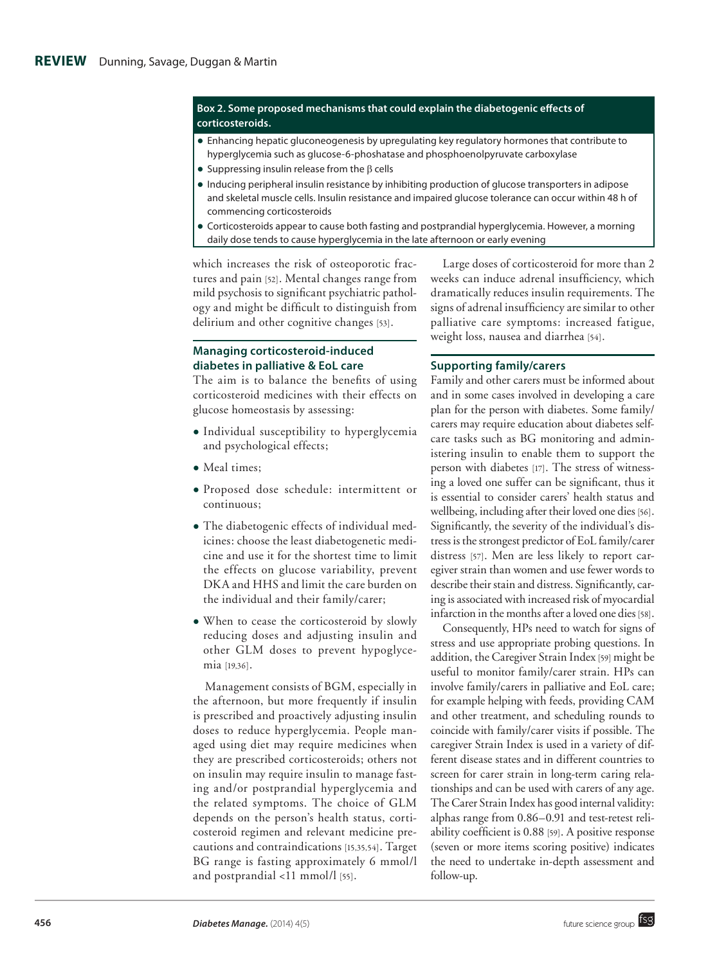## **Box 2. Some proposed mechanisms that could explain the diabetogenic effects of corticosteroids.**

- Enhancing hepatic gluconeogenesis by upregulating key regulatory hormones that contribute to hyperglycemia such as glucose-6-phoshatase and phosphoenolpyruvate carboxylase
- Suppressing insulin release from the  $β$  cells
- Inducing peripheral insulin resistance by inhibiting production of glucose transporters in adipose and skeletal muscle cells. Insulin resistance and impaired glucose tolerance can occur within 48 h of commencing corticosteroids
- Corticosteroids appear to cause both fasting and postprandial hyperglycemia. However, a morning daily dose tends to cause hyperglycemia in the late afternoon or early evening

which increases the risk of osteoporotic fractures and pain [52]. Mental changes range from mild psychosis to significant psychiatric pathology and might be difficult to distinguish from delirium and other cognitive changes [53].

# **Managing corticosteroid-induced diabetes in palliative & EoL care**

The aim is to balance the benefits of using corticosteroid medicines with their effects on glucose homeostasis by assessing:

- Individual susceptibility to hyperglycemia and psychological effects;
- Meal times;
- Proposed dose schedule: intermittent or continuous;
- The diabetogenic effects of individual medicines: choose the least diabetogenetic medicine and use it for the shortest time to limit the effects on glucose variability, prevent DKA and HHS and limit the care burden on the individual and their family/carer;
- When to cease the corticosteroid by slowly reducing doses and adjusting insulin and other GLM doses to prevent hypoglycemia [19,36].

Management consists of BGM, especially in the afternoon, but more frequently if insulin is prescribed and proactively adjusting insulin doses to reduce hyperglycemia. People managed using diet may require medicines when they are prescribed corticosteroids; others not on insulin may require insulin to manage fasting and/or postprandial hyperglycemia and the related symptoms. The choice of GLM depends on the person's health status, corticosteroid regimen and relevant medicine precautions and contraindications [15,35,54]. Target BG range is fasting approximately 6 mmol/l and postprandial <11 mmol/l [55].

Large doses of corticosteroid for more than 2 weeks can induce adrenal insufficiency, which dramatically reduces insulin requirements. The signs of adrenal insufficiency are similar to other palliative care symptoms: increased fatigue, weight loss, nausea and diarrhea [54].

## **Supporting family/carers**

Family and other carers must be informed about and in some cases involved in developing a care plan for the person with diabetes. Some family/ carers may require education about diabetes selfcare tasks such as BG monitoring and administering insulin to enable them to support the person with diabetes [17]. The stress of witnessing a loved one suffer can be significant, thus it is essential to consider carers' health status and wellbeing, including after their loved one dies [56]. Significantly, the severity of the individual's distress is the strongest predictor of EoL family/carer distress [57]. Men are less likely to report caregiver strain than women and use fewer words to describe their stain and distress. Significantly, caring is associated with increased risk of myocardial infarction in the months after a loved one dies [58].

Consequently, HPs need to watch for signs of stress and use appropriate probing questions. In addition, the Caregiver Strain Index [59] might be useful to monitor family/carer strain. HPs can involve family/carers in palliative and EoL care; for example helping with feeds, providing CAM and other treatment, and scheduling rounds to coincide with family/carer visits if possible. The caregiver Strain Index is used in a variety of different disease states and in different countries to screen for carer strain in long-term caring relationships and can be used with carers of any age. The Carer Strain Index has good internal validity: alphas range from 0.86–0.91 and test-retest reliability coefficient is 0.88 [59]. A positive response (seven or more items scoring positive) indicates the need to undertake in-depth assessment and follow-up.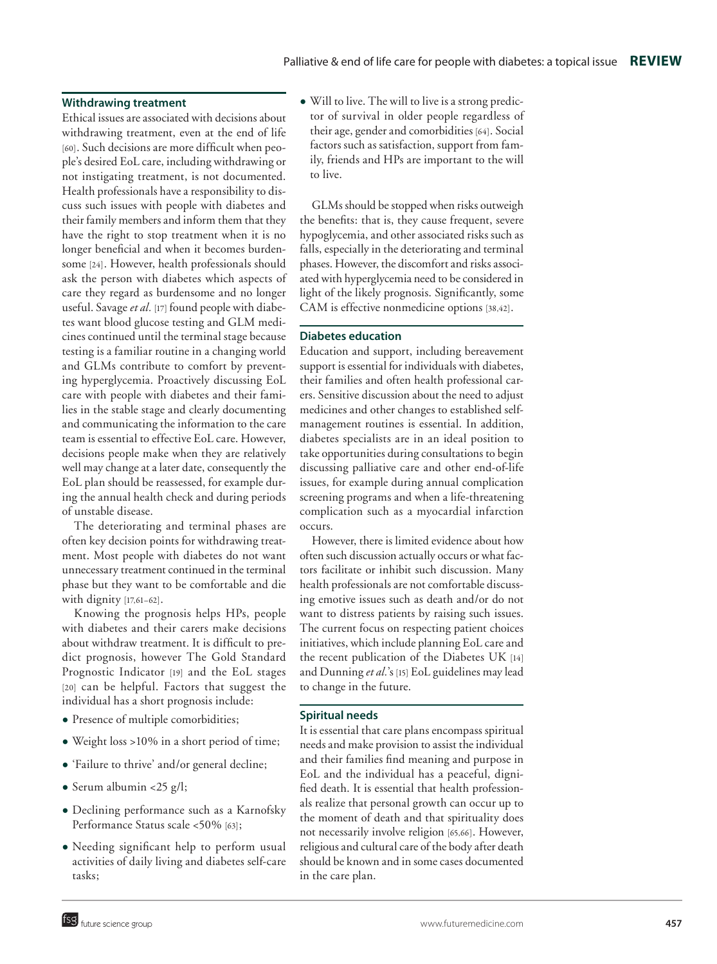## **Withdrawing treatment**

Ethical issues are associated with decisions about withdrawing treatment, even at the end of life [60]. Such decisions are more difficult when people's desired EoL care, including withdrawing or not instigating treatment, is not documented. Health professionals have a responsibility to discuss such issues with people with diabetes and their family members and inform them that they have the right to stop treatment when it is no longer beneficial and when it becomes burdensome [24]. However, health professionals should ask the person with diabetes which aspects of care they regard as burdensome and no longer useful. Savage *et al.* [17] found people with diabetes want blood glucose testing and GLM medicines continued until the terminal stage because testing is a familiar routine in a changing world and GLMs contribute to comfort by preventing hyperglycemia. Proactively discussing EoL care with people with diabetes and their families in the stable stage and clearly documenting and communicating the information to the care team is essential to effective EoL care. However, decisions people make when they are relatively well may change at a later date, consequently the EoL plan should be reassessed, for example during the annual health check and during periods of unstable disease.

The deteriorating and terminal phases are often key decision points for withdrawing treatment. Most people with diabetes do not want unnecessary treatment continued in the terminal phase but they want to be comfortable and die with dignity [17,61–62].

Knowing the prognosis helps HPs, people with diabetes and their carers make decisions about withdraw treatment. It is difficult to predict prognosis, however The Gold Standard Prognostic Indicator [19] and the EoL stages [20] can be helpful. Factors that suggest the individual has a short prognosis include:

- Presence of multiple comorbidities;
- Weight loss >10% in a short period of time;
- 'Failure to thrive' and/or general decline;
- Serum albumin <25 g/l;
- Declining performance such as a Karnofsky Performance Status scale <50% [63];
- Needing significant help to perform usual activities of daily living and diabetes self-care tasks;

● Will to live. The will to live is a strong predictor of survival in older people regardless of their age, gender and comorbidities [64]. Social factors such as satisfaction, support from family, friends and HPs are important to the will to live.

GLMs should be stopped when risks outweigh the benefits: that is, they cause frequent, severe hypoglycemia, and other associated risks such as falls, especially in the deteriorating and terminal phases. However, the discomfort and risks associated with hyperglycemia need to be considered in light of the likely prognosis. Significantly, some CAM is effective nonmedicine options [38,42].

## **Diabetes education**

Education and support, including bereavement support is essential for individuals with diabetes, their families and often health professional carers. Sensitive discussion about the need to adjust medicines and other changes to established selfmanagement routines is essential. In addition, diabetes specialists are in an ideal position to take opportunities during consultations to begin discussing palliative care and other end-of-life issues, for example during annual complication screening programs and when a life-threatening complication such as a myocardial infarction occurs.

However, there is limited evidence about how often such discussion actually occurs or what factors facilitate or inhibit such discussion. Many health professionals are not comfortable discussing emotive issues such as death and/or do not want to distress patients by raising such issues. The current focus on respecting patient choices initiatives, which include planning EoL care and the recent publication of the Diabetes UK [14] and Dunning *et al.*'s [15] EoL guidelines may lead to change in the future.

#### **Spiritual needs**

It is essential that care plans encompass spiritual needs and make provision to assist the individual and their families find meaning and purpose in EoL and the individual has a peaceful, dignified death. It is essential that health professionals realize that personal growth can occur up to the moment of death and that spirituality does not necessarily involve religion [65,66]. However, religious and cultural care of the body after death should be known and in some cases documented in the care plan.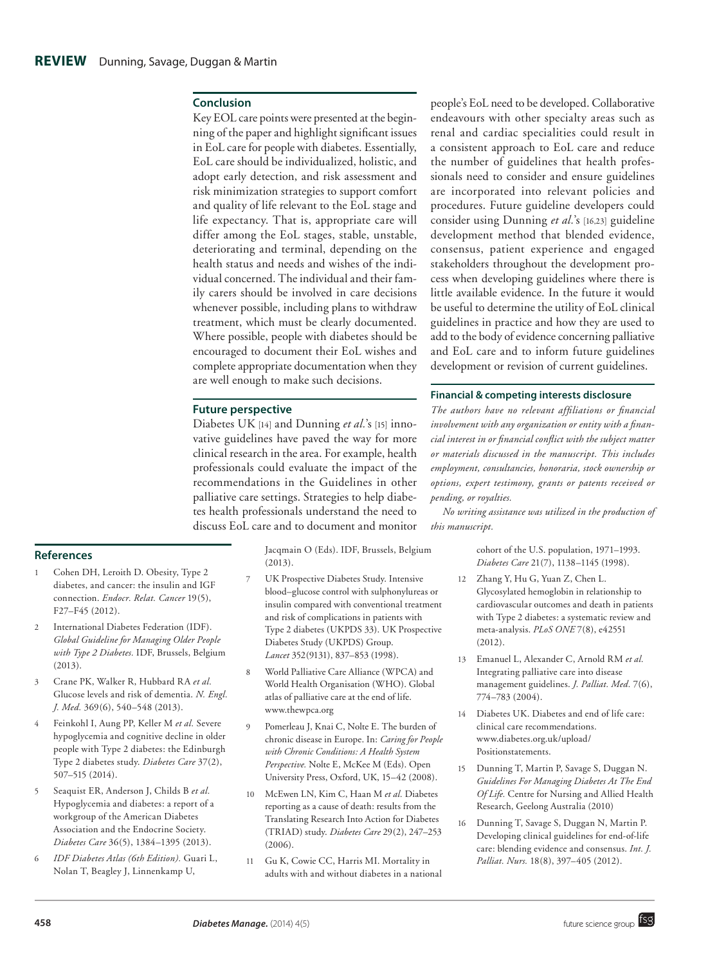## **Conclusion**

Key EOL care points were presented at the beginning of the paper and highlight significant issues in EoL care for people with diabetes. Essentially, EoL care should be individualized, holistic, and adopt early detection, and risk assessment and risk minimization strategies to support comfort and quality of life relevant to the EoL stage and life expectancy. That is, appropriate care will differ among the EoL stages, stable, unstable, deteriorating and terminal, depending on the health status and needs and wishes of the individual concerned. The individual and their family carers should be involved in care decisions whenever possible, including plans to withdraw treatment, which must be clearly documented. Where possible, people with diabetes should be encouraged to document their EoL wishes and complete appropriate documentation when they are well enough to make such decisions.

## **Future perspective**

Diabetes UK [14] and Dunning *et al.*'s [15] innovative guidelines have paved the way for more clinical research in the area. For example, health professionals could evaluate the impact of the recommendations in the Guidelines in other palliative care settings. Strategies to help diabetes health professionals understand the need to discuss EoL care and to document and monitor people's EoL need to be developed. Collaborative endeavours with other specialty areas such as renal and cardiac specialities could result in a consistent approach to EoL care and reduce the number of guidelines that health professionals need to consider and ensure guidelines are incorporated into relevant policies and procedures. Future guideline developers could consider using Dunning *et al.*'s [16,23] guideline development method that blended evidence, consensus, patient experience and engaged stakeholders throughout the development process when developing guidelines where there is little available evidence. In the future it would be useful to determine the utility of EoL clinical guidelines in practice and how they are used to add to the body of evidence concerning palliative and EoL care and to inform future guidelines development or revision of current guidelines.

#### **Financial & competing interests disclosure**

*The authors have no relevant affiliations or financial involvement with any organization or entity with a financial interest in or financial conflict with the subject matter or materials discussed in the manuscript. This includes employment, consultancies, honoraria, stock ownership or options, expert testimony, grants or patents received or pending, or royalties.*

*No writing assistance was utilized in the production of this manuscript.*

#### **References**

- Cohen DH, Leroith D. Obesity, Type 2 diabetes, and cancer: the insulin and IGF connection. *Endocr. Relat. Cancer* 19(5), F27–F45 (2012).
- International Diabetes Federation (IDF). *Global Guideline for Managing Older People with Type 2 Diabetes.* IDF, Brussels, Belgium (2013).
- 3 Crane PK, Walker R, Hubbard RA *et al.* Glucose levels and risk of dementia. *N. Engl. J. Med.* 369(6), 540–548 (2013).
- 4 Feinkohl I, Aung PP, Keller M *et al.* Severe hypoglycemia and cognitive decline in older people with Type 2 diabetes: the Edinburgh Type 2 diabetes study. *Diabetes Care* 37(2), 507–515 (2014).
- 5 Seaquist ER, Anderson J, Childs B *et al.* Hypoglycemia and diabetes: a report of a workgroup of the American Diabetes Association and the Endocrine Society. *Diabetes Care* 36(5), 1384–1395 (2013).
- 6 *IDF Diabetes Atlas (6th Edition).* Guari L, Nolan T, Beagley J, Linnenkamp U,

Jacqmain O (Eds). IDF, Brussels, Belgium (2013).

- UK Prospective Diabetes Study. Intensive blood–glucose control with sulphonylureas or insulin compared with conventional treatment and risk of complications in patients with Type 2 diabetes (UKPDS 33). UK Prospective Diabetes Study (UKPDS) Group. *Lancet* 352(9131), 837–853 (1998).
- 8 World Palliative Care Alliance (WPCA) and World Health Organisation (WHO). Global atlas of palliative care at the end of life. www.thewpca.org
- 9 Pomerleau J, Knai C, Nolte E. The burden of chronic disease in Europe. In: *Caring for People with Chronic Conditions: A Health System Perspective.* Nolte E, McKee M (Eds). Open University Press, Oxford, UK, 15–42 (2008).
- 10 McEwen LN, Kim C, Haan M *et al.* Diabetes reporting as a cause of death: results from the Translating Research Into Action for Diabetes (TRIAD) study. *Diabetes Care* 29(2), 247–253 (2006).
- 11 Gu K, Cowie CC, Harris MI. Mortality in adults with and without diabetes in a national

cohort of the U.S. population, 1971–1993. *Diabetes Care* 21(7), 1138–1145 (1998).

- 12 Zhang Y, Hu G, Yuan Z, Chen L. Glycosylated hemoglobin in relationship to cardiovascular outcomes and death in patients with Type 2 diabetes: a systematic review and meta-analysis. *PLoS ONE* 7(8), e42551 (2012).
- 13 Emanuel L, Alexander C, Arnold RM *et al.* Integrating palliative care into disease management guidelines. *J. Palliat. Med.* 7(6), 774–783 (2004).
- 14 Diabetes UK. Diabetes and end of life care: clinical care recommendations. www.diabetes.org.uk/upload/ Positionstatements.
- 15 Dunning T, Martin P, Savage S, Duggan N. *Guidelines For Managing Diabetes At The End Of Life.* Centre for Nursing and Allied Health Research, Geelong Australia (2010)
- 16 Dunning T, Savage S, Duggan N, Martin P. Developing clinical guidelines for end-of-life care: blending evidence and consensus. *Int. J. Palliat. Nurs.* 18(8), 397–405 (2012).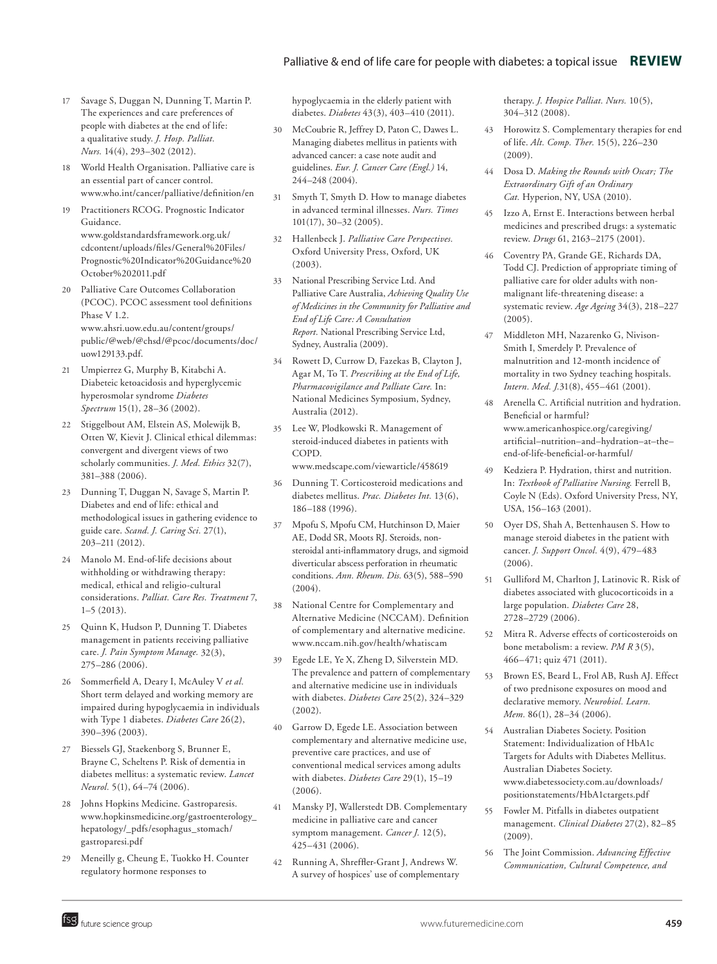- 17 Savage S, Duggan N, Dunning T, Martin P. The experiences and care preferences of people with diabetes at the end of life: a qualitative study. *J. Hosp. Palliat. Nurs.* 14(4), 293–302 (2012).
- 18 World Health Organisation. Palliative care is an essential part of cancer control. www.who.int/cancer/palliative/definition/en
- 19 Practitioners RCOG. Prognostic Indicator Guidance. www.goldstandardsframework.org.uk/ cdcontent/uploads/files/General%20Files/ Prognostic%20Indicator%20Guidance%20 October%202011.pdf
- 20 Palliative Care Outcomes Collaboration (PCOC). PCOC assessment tool definitions Phase V 1.2. www.ahsri.uow.edu.au/content/groups/ public/@web/@chsd/@pcoc/documents/doc/ uow129133.pdf.
- 21 Umpierrez G, Murphy B, Kitabchi A. Diabeteic ketoacidosis and hyperglycemic hyperosmolar syndrome *Diabetes Spectrum* 15(1), 28–36 (2002).
- 22 Stiggelbout AM, Elstein AS, Molewijk B, Otten W, Kievit J. Clinical ethical dilemmas: convergent and divergent views of two scholarly communities. *J. Med. Ethics* 32(7), 381–388 (2006).
- 23 Dunning T, Duggan N, Savage S, Martin P. Diabetes and end of life: ethical and methodological issues in gathering evidence to guide care. *Scand. J. Caring Sci.* 27(1), 203–211 (2012).
- 24 Manolo M. End-of-life decisions about withholding or withdrawing therapy: medical, ethical and religio-cultural considerations. *Palliat. Care Res. Treatment* 7, 1–5 (2013).
- 25 Quinn K, Hudson P, Dunning T. Diabetes management in patients receiving palliative care. *J. Pain Symptom Manage.* 32(3), 275–286 (2006).
- 26 Sommerfield A, Deary I, McAuley V *et al.* Short term delayed and working memory are impaired during hypoglycaemia in individuals with Type 1 diabetes. *Diabetes Care* 26(2), 390–396 (2003).
- 27 Biessels GJ, Staekenborg S, Brunner E, Brayne C, Scheltens P. Risk of dementia in diabetes mellitus: a systematic review. *Lancet Neurol.* 5(1), 64–74 (2006).
- 28 Johns Hopkins Medicine. Gastroparesis. www.hopkinsmedicine.org/gastroenterology\_ hepatology/\_pdfs/esophagus\_stomach/ gastroparesi.pdf
- 29 Meneilly g, Cheung E, Tuokko H. Counter regulatory hormone responses to

hypoglycaemia in the elderly patient with diabetes. *Diabetes* 43(3), 403–410 (2011).

- 30 McCoubrie R, Jeffrey D, Paton C, Dawes L. Managing diabetes mellitus in patients with advanced cancer: a case note audit and guidelines. *Eur. J. Cancer Care (Engl.)* 14, 244–248 (2004).
- 31 Smyth T, Smyth D. How to manage diabetes in advanced terminal illnesses. *Nurs. Times* 101(17), 30–32 (2005).
- 32 Hallenbeck J. *Palliative Care Perspectives.* Oxford University Press, Oxford, UK  $(2003)$
- 33 National Prescribing Service Ltd. And Palliative Care Australia, *Achieving Quality Use of Medicines in the Community for Palliative and End of Life Care: A Consultation Report.* National Prescribing Service Ltd, Sydney, Australia (2009).
- 34 Rowett D, Currow D, Fazekas B, Clayton J, Agar M, To T. *Prescribing at the End of Life, Pharmacovigilance and Palliate Care.* In: National Medicines Symposium, Sydney, Australia (2012).
- 35 Lee W, Plodkowski R. Management of steroid-induced diabetes in patients with COPD. www.medscape.com/viewarticle/458619
- 36 Dunning T. Corticosteroid medications and diabetes mellitus. *Prac. Diabetes Int.* 13(6), 186–188 (1996).
- 37 Mpofu S, Mpofu CM, Hutchinson D, Maier AE, Dodd SR, Moots RJ. Steroids, nonsteroidal anti-inflammatory drugs, and sigmoid diverticular abscess perforation in rheumatic conditions. *Ann. Rheum. Dis.* 63(5), 588–590 (2004).
- 38 National Centre for Complementary and Alternative Medicine (NCCAM). Definition of complementary and alternative medicine. www.nccam.nih.gov/health/whatiscam
- 39 Egede LE, Ye X, Zheng D, Silverstein MD. The prevalence and pattern of complementary and alternative medicine use in individuals with diabetes. *Diabetes Care* 25(2), 324–329  $(2002)$
- 40 Garrow D, Egede LE. Association between complementary and alternative medicine use, preventive care practices, and use of conventional medical services among adults with diabetes. *Diabetes Care* 29(1), 15–19  $(2006)$
- 41 Mansky PJ, Wallerstedt DB. Complementary medicine in palliative care and cancer symptom management. *Cancer J.* 12(5), 425–431 (2006).
- 42 Running A, Shreffler-Grant J, Andrews W. A survey of hospices' use of complementary

therapy. *J. Hospice Palliat. Nurs.* 10(5), 304–312 (2008).

- 43 Horowitz S. Complementary therapies for end of life. *Alt. Comp. Ther.* 15(5), 226–230 (2009).
- 44 Dosa D. *Making the Rounds with Oscar; The Extraordinary Gift of an Ordinary Cat.* Hyperion, NY, USA (2010).
- 45 Izzo A, Ernst E. Interactions between herbal medicines and prescribed drugs: a systematic review. *Drugs* 61, 2163–2175 (2001).
- 46 Coventry PA, Grande GE, Richards DA, Todd CJ. Prediction of appropriate timing of palliative care for older adults with nonmalignant life-threatening disease: a systematic review. *Age Ageing* 34(3), 218–227  $(2005)$ .
- 47 Middleton MH, Nazarenko G, Nivison-Smith I, Smerdely P. Prevalence of malnutrition and 12-month incidence of mortality in two Sydney teaching hospitals. *Intern. Med. J.*31(8), 455–461 (2001).
- 48 Arenella C. Artificial nutrition and hydration. Beneficial or harmful? www.americanhospice.org/caregiving/ artificial–nutrition–and–hydration–at–the– end-of-life-beneficial-or-harmful/
- 49 Kedziera P. Hydration, thirst and nutrition. In: *Textbook of Palliative Nursing.* Ferrell B, Coyle N (Eds). Oxford University Press, NY, USA, 156–163 (2001).
- 50 Oyer DS, Shah A, Bettenhausen S. How to manage steroid diabetes in the patient with cancer. *J. Support Oncol.* 4(9), 479–483 (2006).
- 51 Gulliford M, Charlton J, Latinovic R. Risk of diabetes associated with glucocorticoids in a large population. *Diabetes Care* 28, 2728–2729 (2006).
- 52 Mitra R. Adverse effects of corticosteroids on bone metabolism: a review. *PM R* 3(5), 466–471; quiz 471 (2011).
- 53 Brown ES, Beard L, Frol AB, Rush AJ. Effect of two prednisone exposures on mood and declarative memory. *Neurobiol. Learn. Mem.* 86(1), 28–34 (2006).
- 54 Australian Diabetes Society. Position Statement: Individualization of HbA1c Targets for Adults with Diabetes Mellitus. Australian Diabetes Society. www.diabetessociety.com.au/downloads/ positionstatements/HbA1ctargets.pdf
- 55 Fowler M. Pitfalls in diabetes outpatient management. *Clinical Diabetes* 27(2), 82–85 (2009).
- 56 The Joint Commission. *Advancing Effective Communication, Cultural Competence, and*